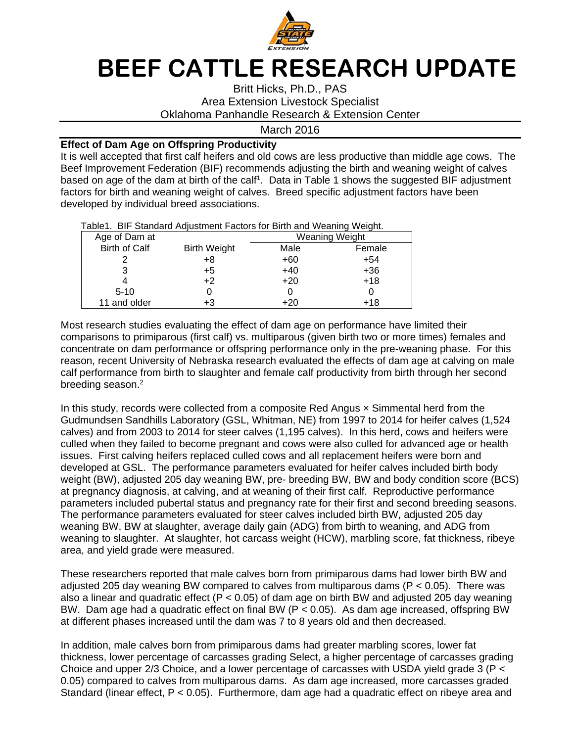

## **BEEF CATTLE RESEARCH UPDATE**

Britt Hicks, Ph.D., PAS Area Extension Livestock Specialist Oklahoma Panhandle Research & Extension Center

## March 2016

## **Effect of Dam Age on Offspring Productivity**

It is well accepted that first calf heifers and old cows are less productive than middle age cows. The Beef Improvement Federation (BIF) recommends adjusting the birth and weaning weight of calves based on age of the dam at birth of the calf<sup>1</sup>. Data in Table 1 shows the suggested BIF adjustment factors for birth and weaning weight of calves. Breed specific adjustment factors have been developed by individual breed associations.

| rable r. Dir Olandard Aujustinent ractors for Difth and Wearing Weight. |                      |                     |                |        |  |  |  |  |  |  |
|-------------------------------------------------------------------------|----------------------|---------------------|----------------|--------|--|--|--|--|--|--|
|                                                                         | Age of Dam at        |                     | Weaning Weight |        |  |  |  |  |  |  |
|                                                                         | <b>Birth of Calf</b> | <b>Birth Weight</b> | Male           | Female |  |  |  |  |  |  |
|                                                                         |                      | +8                  | $+60$          | $+54$  |  |  |  |  |  |  |
|                                                                         |                      | +5                  | $+40$          | $+36$  |  |  |  |  |  |  |
|                                                                         |                      | $+2$                | $+20$          | $+18$  |  |  |  |  |  |  |
|                                                                         | $5 - 10$             |                     |                |        |  |  |  |  |  |  |
|                                                                         | 11 and older         |                     | +20            | +18    |  |  |  |  |  |  |

Table1. BIF Standard Adjustment Factors for Birth and Weaning Weight.

Most research studies evaluating the effect of dam age on performance have limited their comparisons to primiparous (first calf) vs. multiparous (given birth two or more times) females and concentrate on dam performance or offspring performance only in the pre-weaning phase. For this reason, recent University of Nebraska research evaluated the effects of dam age at calving on male calf performance from birth to slaughter and female calf productivity from birth through her second breeding season.<sup>2</sup>

In this study, records were collected from a composite Red Angus × Simmental herd from the Gudmundsen Sandhills Laboratory (GSL, Whitman, NE) from 1997 to 2014 for heifer calves (1,524 calves) and from 2003 to 2014 for steer calves (1,195 calves). In this herd, cows and heifers were culled when they failed to become pregnant and cows were also culled for advanced age or health issues. First calving heifers replaced culled cows and all replacement heifers were born and developed at GSL. The performance parameters evaluated for heifer calves included birth body weight (BW), adjusted 205 day weaning BW, pre- breeding BW, BW and body condition score (BCS) at pregnancy diagnosis, at calving, and at weaning of their first calf. Reproductive performance parameters included pubertal status and pregnancy rate for their first and second breeding seasons. The performance parameters evaluated for steer calves included birth BW, adjusted 205 day weaning BW, BW at slaughter, average daily gain (ADG) from birth to weaning, and ADG from weaning to slaughter. At slaughter, hot carcass weight (HCW), marbling score, fat thickness, ribeye area, and yield grade were measured.

These researchers reported that male calves born from primiparous dams had lower birth BW and adjusted 205 day weaning BW compared to calves from multiparous dams (P < 0.05). There was also a linear and quadratic effect ( $P < 0.05$ ) of dam age on birth BW and adjusted 205 day weaning BW. Dam age had a quadratic effect on final BW (P < 0.05). As dam age increased, offspring BW at different phases increased until the dam was 7 to 8 years old and then decreased.

In addition, male calves born from primiparous dams had greater marbling scores, lower fat thickness, lower percentage of carcasses grading Select, a higher percentage of carcasses grading Choice and upper 2/3 Choice, and a lower percentage of carcasses with USDA yield grade 3 (P < 0.05) compared to calves from multiparous dams. As dam age increased, more carcasses graded Standard (linear effect, P < 0.05). Furthermore, dam age had a quadratic effect on ribeye area and